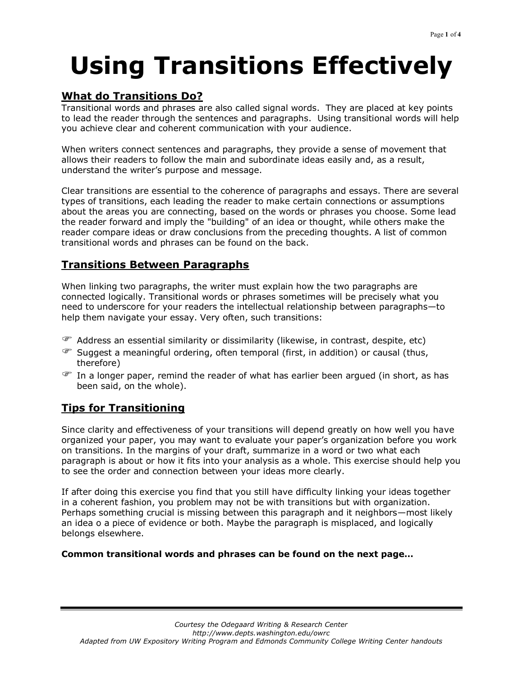# **Using Transitions Effectively**

### **What do Transitions Do?**

Transitional words and phrases are also called signal words. They are placed at key points to lead the reader through the sentences and paragraphs. Using transitional words will help you achieve clear and coherent communication with your audience.

When writers connect sentences and paragraphs, they provide a sense of movement that allows their readers to follow the main and subordinate ideas easily and, as a result, understand the writer's purpose and message.

Clear transitions are essential to the coherence of paragraphs and essays. There are several types of transitions, each leading the reader to make certain connections or assumptions about the areas you are connecting, based on the words or phrases you choose. Some lead the reader forward and imply the "building" of an idea or thought, while others make the reader compare ideas or draw conclusions from the preceding thoughts. A list of common transitional words and phrases can be found on the back.

### **Transitions Between Paragraphs**

When linking two paragraphs, the writer must explain how the two paragraphs are connected logically. Transitional words or phrases sometimes will be precisely what you need to underscore for your readers the intellectual relationship between paragraphs—to help them navigate your essay. Very often, such transitions:

- Address an essential similarity or dissimilarity (likewise, in contrast, despite, etc)
- Suggest a meaningful ordering, often temporal (first, in addition) or causal (thus, therefore)
- $\mathcal{F}$  In a longer paper, remind the reader of what has earlier been argued (in short, as has been said, on the whole).

### **Tips for Transitioning**

Since clarity and effectiveness of your transitions will depend greatly on how well you have organized your paper, you may want to evaluate your paper's organization before you work on transitions. In the margins of your draft, summarize in a word or two what each paragraph is about or how it fits into your analysis as a whole. This exercise should help you to see the order and connection between your ideas more clearly.

If after doing this exercise you find that you still have difficulty linking your ideas together in a coherent fashion, you problem may not be with transitions but with organization. Perhaps something crucial is missing between this paragraph and it neighbors—most likely an idea o a piece of evidence or both. Maybe the paragraph is misplaced, and logically belongs elsewhere.

#### **Common transitional words and phrases can be found on the next page…**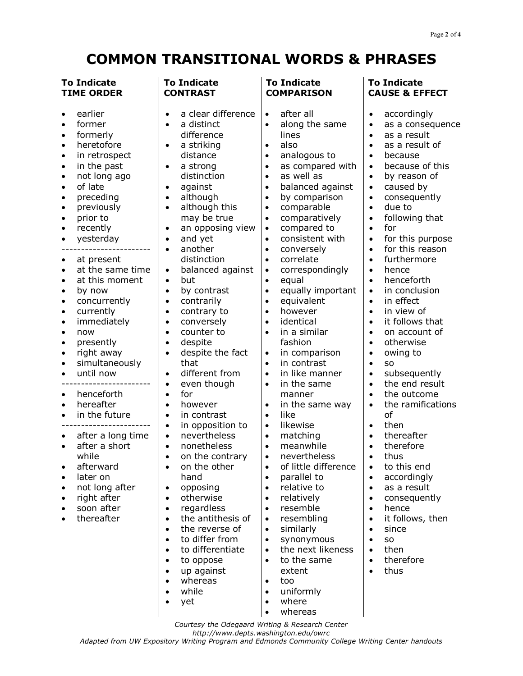## **COMMON TRANSITIONAL WORDS & PHRASES**

| <b>To Indicate</b>                                                                                                                                                                                                                                                                                                                                                                                                                                                                                                                                                                                                                                                                                                                                                                                                                                                                                                                                                                                                     | <b>To Indicate</b>                                                                                                                                                                                                                                                                                                                                                                                                                                                                                                                                                                                                                                                                                                                                                                                                                                                                                                                                                                                                                                                                                                                                                                                                                                           | <b>To Indicate</b>                                                                                                                                                                                                                                                                                                                                                                                                                                                                                                                                                                                                                                                                                                                                                                                                                                                                                                                                                                                                                                                                                                                                                                                                                                                                                                           | <b>To Indicate</b>                                                                                                                                                                                                                                                                                                                                                                                                                                                                                                                                                                                                                                                                                                                                                                                                                                                                                                                                                                                                                                                                                                                                                                                                                          |
|------------------------------------------------------------------------------------------------------------------------------------------------------------------------------------------------------------------------------------------------------------------------------------------------------------------------------------------------------------------------------------------------------------------------------------------------------------------------------------------------------------------------------------------------------------------------------------------------------------------------------------------------------------------------------------------------------------------------------------------------------------------------------------------------------------------------------------------------------------------------------------------------------------------------------------------------------------------------------------------------------------------------|--------------------------------------------------------------------------------------------------------------------------------------------------------------------------------------------------------------------------------------------------------------------------------------------------------------------------------------------------------------------------------------------------------------------------------------------------------------------------------------------------------------------------------------------------------------------------------------------------------------------------------------------------------------------------------------------------------------------------------------------------------------------------------------------------------------------------------------------------------------------------------------------------------------------------------------------------------------------------------------------------------------------------------------------------------------------------------------------------------------------------------------------------------------------------------------------------------------------------------------------------------------|------------------------------------------------------------------------------------------------------------------------------------------------------------------------------------------------------------------------------------------------------------------------------------------------------------------------------------------------------------------------------------------------------------------------------------------------------------------------------------------------------------------------------------------------------------------------------------------------------------------------------------------------------------------------------------------------------------------------------------------------------------------------------------------------------------------------------------------------------------------------------------------------------------------------------------------------------------------------------------------------------------------------------------------------------------------------------------------------------------------------------------------------------------------------------------------------------------------------------------------------------------------------------------------------------------------------------|---------------------------------------------------------------------------------------------------------------------------------------------------------------------------------------------------------------------------------------------------------------------------------------------------------------------------------------------------------------------------------------------------------------------------------------------------------------------------------------------------------------------------------------------------------------------------------------------------------------------------------------------------------------------------------------------------------------------------------------------------------------------------------------------------------------------------------------------------------------------------------------------------------------------------------------------------------------------------------------------------------------------------------------------------------------------------------------------------------------------------------------------------------------------------------------------------------------------------------------------|
| <b>TIME ORDER</b>                                                                                                                                                                                                                                                                                                                                                                                                                                                                                                                                                                                                                                                                                                                                                                                                                                                                                                                                                                                                      | <b>CONTRAST</b>                                                                                                                                                                                                                                                                                                                                                                                                                                                                                                                                                                                                                                                                                                                                                                                                                                                                                                                                                                                                                                                                                                                                                                                                                                              | <b>COMPARISON</b>                                                                                                                                                                                                                                                                                                                                                                                                                                                                                                                                                                                                                                                                                                                                                                                                                                                                                                                                                                                                                                                                                                                                                                                                                                                                                                            | <b>CAUSE &amp; EFFECT</b>                                                                                                                                                                                                                                                                                                                                                                                                                                                                                                                                                                                                                                                                                                                                                                                                                                                                                                                                                                                                                                                                                                                                                                                                                   |
| earlier<br>$\bullet$<br>former<br>$\bullet$<br>formerly<br>$\bullet$<br>heretofore<br>$\bullet$<br>in retrospect<br>$\bullet$<br>in the past<br>$\bullet$<br>not long ago<br>$\bullet$<br>of late<br>$\bullet$<br>preceding<br>$\bullet$<br>previously<br>$\bullet$<br>prior to<br>$\bullet$<br>recently<br>$\bullet$<br>yesterday<br>$\bullet$<br>at present<br>$\bullet$<br>at the same time<br>$\bullet$<br>at this moment<br>$\bullet$<br>by now<br>$\bullet$<br>concurrently<br>$\bullet$<br>currently<br>$\bullet$<br>immediately<br>$\bullet$<br>now<br>$\bullet$<br>presently<br>$\bullet$<br>right away<br>$\bullet$<br>simultaneously<br>$\bullet$<br>until now<br>$\bullet$<br>henceforth<br>$\bullet$<br>hereafter<br>$\bullet$<br>in the future<br>$\bullet$<br>after a long time<br>$\bullet$<br>after a short<br>$\bullet$<br>while<br>afterward<br>$\bullet$<br>later on<br>$\bullet$<br>not long after<br>$\bullet$<br>right after<br>$\bullet$<br>soon after<br>$\bullet$<br>thereafter<br>$\bullet$ | a clear difference<br>$\bullet$<br>a distinct<br>$\bullet$<br>difference<br>a striking<br>$\bullet$<br>distance<br>a strong<br>$\bullet$<br>distinction<br>against<br>$\bullet$<br>although<br>$\bullet$<br>although this<br>$\bullet$<br>may be true<br>an opposing view<br>$\bullet$<br>and yet<br>$\bullet$<br>another<br>$\bullet$<br>distinction<br>balanced against<br>$\bullet$<br>but<br>$\bullet$<br>by contrast<br>$\bullet$<br>contrarily<br>$\bullet$<br>contrary to<br>$\bullet$<br>conversely<br>$\bullet$<br>counter to<br>$\bullet$<br>despite<br>$\bullet$<br>despite the fact<br>$\bullet$<br>that<br>different from<br>$\bullet$<br>even though<br>$\bullet$<br>for<br>$\bullet$<br>however<br>$\bullet$<br>in contrast<br>$\bullet$<br>in opposition to<br>$\bullet$<br>nevertheless<br>$\bullet$<br>nonetheless<br>$\bullet$<br>on the contrary<br>$\bullet$<br>on the other<br>$\bullet$<br>hand<br>opposing<br>$\bullet$<br>otherwise<br>$\bullet$<br>regardless<br>$\bullet$<br>the antithesis of<br>$\bullet$<br>the reverse of<br>$\bullet$<br>to differ from<br>$\bullet$<br>to differentiate<br>$\bullet$<br>to oppose<br>$\bullet$<br>up against<br>$\bullet$<br>whereas<br>$\bullet$<br>while<br>$\bullet$<br>yet<br>$\bullet$ | after all<br>$\bullet$<br>along the same<br>$\bullet$<br>lines<br>also<br>$\bullet$<br>analogous to<br>$\bullet$<br>as compared with<br>$\bullet$<br>as well as<br>$\bullet$<br>balanced against<br>$\bullet$<br>by comparison<br>$\bullet$<br>comparable<br>$\bullet$<br>comparatively<br>$\bullet$<br>compared to<br>$\bullet$<br>consistent with<br>$\bullet$<br>conversely<br>$\bullet$<br>correlate<br>$\bullet$<br>correspondingly<br>$\bullet$<br>equal<br>$\bullet$<br>equally important<br>$\bullet$<br>equivalent<br>$\bullet$<br>however<br>$\bullet$<br>identical<br>$\bullet$<br>in a similar<br>$\bullet$<br>fashion<br>in comparison<br>$\bullet$<br>in contrast<br>$\bullet$<br>in like manner<br>$\bullet$<br>in the same<br>$\bullet$<br>manner<br>in the same way<br>$\bullet$<br>like<br>$\bullet$<br>likewise<br>$\bullet$<br>matching<br>$\bullet$<br>meanwhile<br>$\bullet$<br>nevertheless<br>$\bullet$<br>of little difference<br>$\bullet$<br>parallel to<br>$\bullet$<br>relative to<br>$\bullet$<br>relatively<br>$\bullet$<br>resemble<br>$\bullet$<br>resembling<br>$\bullet$<br>similarly<br>$\bullet$<br>synonymous<br>$\bullet$<br>the next likeness<br>$\bullet$<br>to the same<br>$\bullet$<br>extent<br>too<br>$\bullet$<br>uniformly<br>$\bullet$<br>where<br>$\bullet$<br>whereas<br>٠ | accordingly<br>$\bullet$<br>as a consequence<br>$\bullet$<br>as a result<br>$\bullet$<br>as a result of<br>$\bullet$<br>because<br>$\bullet$<br>because of this<br>$\bullet$<br>by reason of<br>$\bullet$<br>caused by<br>$\bullet$<br>consequently<br>$\bullet$<br>due to<br>$\bullet$<br>following that<br>$\bullet$<br>for<br>$\bullet$<br>for this purpose<br>$\bullet$<br>for this reason<br>$\bullet$<br>furthermore<br>$\bullet$<br>hence<br>$\bullet$<br>henceforth<br>$\bullet$<br>in conclusion<br>$\bullet$<br>in effect<br>$\bullet$<br>in view of<br>$\bullet$<br>it follows that<br>$\bullet$<br>on account of<br>$\bullet$<br>otherwise<br>$\bullet$<br>owing to<br>$\bullet$<br>SO.<br>$\bullet$<br>subsequently<br>$\bullet$<br>the end result<br>$\bullet$<br>the outcome<br>$\bullet$<br>the ramifications<br>$\bullet$<br>of<br>then<br>$\bullet$<br>thereafter<br>$\bullet$<br>therefore<br>$\bullet$<br>thus<br>$\bullet$<br>to this end<br>$\bullet$<br>accordingly<br>$\bullet$<br>as a result<br>$\bullet$<br>consequently<br>$\bullet$<br>hence<br>$\bullet$<br>it follows, then<br>$\bullet$<br>since<br>$\bullet$<br><b>SO</b><br>$\bullet$<br>then<br>$\bullet$<br>therefore<br>$\bullet$<br>thus<br>$\bullet$ |

*Courtesy the Odegaard Writing & Research Center*

*http://www.depts.washington.edu/owrc*

*Adapted from UW Expository Writing Program and Edmonds Community College Writing Center handouts*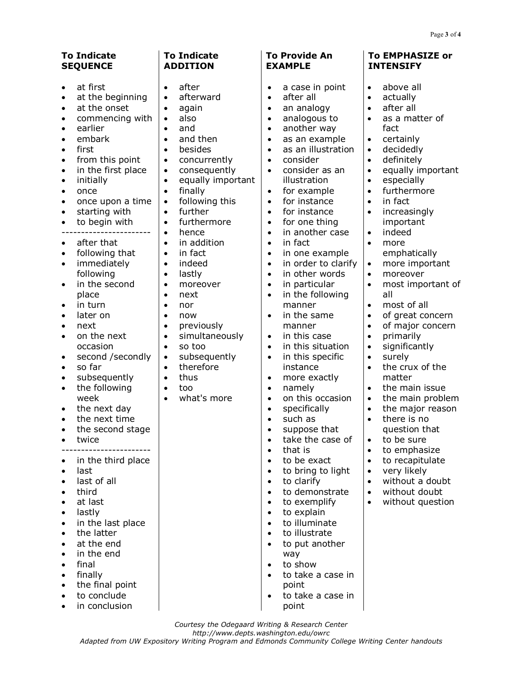| <b>To Indicate</b><br><b>SEQUENCE</b>                                                                                                                                                                                                                                                                                                                                                                                                                                                                                                                                                                                                                                                                                                          | <b>To Indicate</b><br><b>ADDITION</b>                                                                                                                                                                                                                                                                                                                                                                                                                                                                                                                                                                                                                                                                                                                                                          | <b>To Provide An</b><br><b>EXAMPLE</b>                                                                                                                                                                                                                                                                                                                                                                                                                                                                                                                                                                                                                                                                                                                                                                                                                                                                                                                                     | To EMPHASIZE or<br><b>INTENSIFY</b>                                                                                                                                                                                                                                                                                                                                                                                                                                                                                                                                                                                                                                                                                                                                                                                                                                                                                     |
|------------------------------------------------------------------------------------------------------------------------------------------------------------------------------------------------------------------------------------------------------------------------------------------------------------------------------------------------------------------------------------------------------------------------------------------------------------------------------------------------------------------------------------------------------------------------------------------------------------------------------------------------------------------------------------------------------------------------------------------------|------------------------------------------------------------------------------------------------------------------------------------------------------------------------------------------------------------------------------------------------------------------------------------------------------------------------------------------------------------------------------------------------------------------------------------------------------------------------------------------------------------------------------------------------------------------------------------------------------------------------------------------------------------------------------------------------------------------------------------------------------------------------------------------------|----------------------------------------------------------------------------------------------------------------------------------------------------------------------------------------------------------------------------------------------------------------------------------------------------------------------------------------------------------------------------------------------------------------------------------------------------------------------------------------------------------------------------------------------------------------------------------------------------------------------------------------------------------------------------------------------------------------------------------------------------------------------------------------------------------------------------------------------------------------------------------------------------------------------------------------------------------------------------|-------------------------------------------------------------------------------------------------------------------------------------------------------------------------------------------------------------------------------------------------------------------------------------------------------------------------------------------------------------------------------------------------------------------------------------------------------------------------------------------------------------------------------------------------------------------------------------------------------------------------------------------------------------------------------------------------------------------------------------------------------------------------------------------------------------------------------------------------------------------------------------------------------------------------|
| at first<br>at the beginning<br>$\bullet$<br>at the onset<br>$\bullet$<br>commencing with<br>٠<br>earlier<br>embark<br>first<br>from this point<br>٠<br>in the first place<br>$\bullet$<br>initially<br>$\bullet$<br>once<br>$\bullet$<br>once upon a time<br>$\bullet$<br>starting with<br>$\bullet$<br>to begin with<br>$\bullet$<br>after that<br>٠<br>following that<br>$\bullet$<br>immediately<br>$\bullet$<br>following<br>in the second<br>$\bullet$<br>place<br>in turn<br>٠<br>later on<br>٠<br>next<br>٠<br>on the next<br>٠<br>occasion<br>second /secondly<br>٠<br>so far<br>$\bullet$<br>subsequently<br>$\bullet$<br>the following<br>$\bullet$<br>week<br>the next day<br>٠<br>the next time<br>٠<br>the second stage<br>twice | after<br>$\bullet$<br>afterward<br>$\bullet$<br>again<br>$\bullet$<br>also<br>$\bullet$<br>and<br>$\bullet$<br>and then<br>$\bullet$<br>besides<br>$\bullet$<br>concurrently<br>$\bullet$<br>consequently<br>$\bullet$<br>equally important<br>$\bullet$<br>finally<br>$\bullet$<br>following this<br>$\bullet$<br>further<br>$\bullet$<br>furthermore<br>$\bullet$<br>hence<br>$\bullet$<br>in addition<br>$\bullet$<br>in fact<br>$\bullet$<br>indeed<br>$\bullet$<br>lastly<br>$\bullet$<br>moreover<br>$\bullet$<br>next<br>$\bullet$<br>nor<br>$\bullet$<br>now<br>$\bullet$<br>previously<br>$\bullet$<br>simultaneously<br>$\bullet$<br>so too<br>$\bullet$<br>subsequently<br>$\bullet$<br>therefore<br>$\bullet$<br>thus<br>$\bullet$<br>too<br>$\bullet$<br>what's more<br>$\bullet$ | a case in point<br>$\bullet$<br>after all<br>$\bullet$<br>an analogy<br>$\bullet$<br>analogous to<br>$\bullet$<br>another way<br>$\bullet$<br>as an example<br>$\bullet$<br>as an illustration<br>$\bullet$<br>consider<br>$\bullet$<br>consider as an<br>$\bullet$<br>illustration<br>for example<br>$\bullet$<br>for instance<br>$\bullet$<br>for instance<br>$\bullet$<br>for one thing<br>$\bullet$<br>in another case<br>$\bullet$<br>in fact<br>$\bullet$<br>in one example<br>$\bullet$<br>in order to clarify<br>$\bullet$<br>in other words<br>$\bullet$<br>in particular<br>$\bullet$<br>in the following<br>$\bullet$<br>manner<br>in the same<br>$\bullet$<br>manner<br>in this case<br>$\bullet$<br>in this situation<br>$\bullet$<br>in this specific<br>$\bullet$<br>instance<br>more exactly<br>$\bullet$<br>namely<br>$\bullet$<br>on this occasion<br>$\bullet$<br>specifically<br>$\bullet$<br>such as<br>suppose that<br>$\bullet$<br>take the case of | above all<br>$\bullet$<br>actually<br>$\bullet$<br>after all<br>$\bullet$<br>as a matter of<br>$\bullet$<br>fact<br>certainly<br>$\bullet$<br>decidedly<br>$\bullet$<br>definitely<br>$\bullet$<br>equally important<br>$\bullet$<br>especially<br>$\bullet$<br>furthermore<br>$\bullet$<br>in fact<br>$\bullet$<br>increasingly<br>$\bullet$<br>important<br>indeed<br>$\bullet$<br>$\bullet$<br>more<br>emphatically<br>more important<br>$\bullet$<br>moreover<br>$\bullet$<br>most important of<br>$\bullet$<br>all<br>most of all<br>$\bullet$<br>of great concern<br>$\bullet$<br>of major concern<br>$\bullet$<br>primarily<br>$\bullet$<br>significantly<br>$\bullet$<br>surely<br>$\bullet$<br>the crux of the<br>$\bullet$<br>matter<br>the main issue<br>$\bullet$<br>the main problem<br>$\bullet$<br>the major reason<br>$\bullet$<br>there is no<br>$\bullet$<br>question that<br>to be sure<br>$\bullet$ |
| in the third place<br>last<br>last of all<br>third<br>at last<br>lastly<br>in the last place<br>the latter<br>at the end<br>in the end<br>final<br>finally<br>the final point<br>to conclude                                                                                                                                                                                                                                                                                                                                                                                                                                                                                                                                                   |                                                                                                                                                                                                                                                                                                                                                                                                                                                                                                                                                                                                                                                                                                                                                                                                | that is<br>$\bullet$<br>to be exact<br>to bring to light<br>to clarify<br>$\bullet$<br>to demonstrate<br>$\bullet$<br>to exemplify<br>$\bullet$<br>to explain<br>$\bullet$<br>to illuminate<br>$\bullet$<br>to illustrate<br>to put another<br>way<br>to show<br>$\bullet$<br>to take a case in<br>point<br>to take a case in                                                                                                                                                                                                                                                                                                                                                                                                                                                                                                                                                                                                                                              | to emphasize<br>$\bullet$<br>to recapitulate<br>$\bullet$<br>very likely<br>$\bullet$<br>without a doubt<br>$\bullet$<br>without doubt<br>$\bullet$<br>without question<br>$\bullet$                                                                                                                                                                                                                                                                                                                                                                                                                                                                                                                                                                                                                                                                                                                                    |

- to conclude
- in conclusion

point